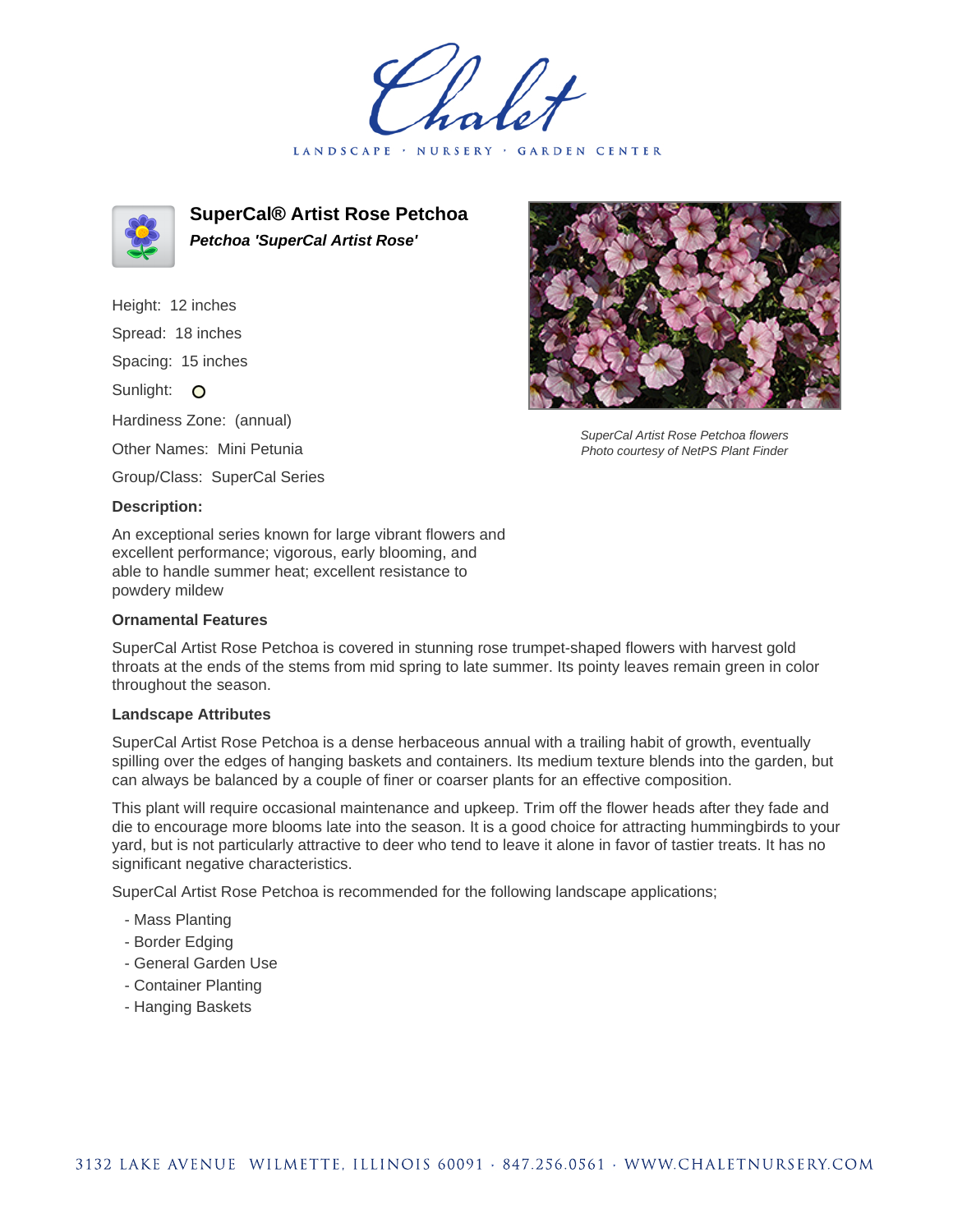LANDSCAPE · NURSERY · GARDEN CENTER



**SuperCal® Artist Rose Petchoa Petchoa 'SuperCal Artist Rose'**

Height: 12 inches Spread: 18 inches

Spacing: 15 inches

Sunlight: O

Hardiness Zone: (annual)

Other Names: Mini Petunia

Group/Class: SuperCal Series

## **Description:**

An exceptional series known for large vibrant flowers and excellent performance; vigorous, early blooming, and able to handle summer heat; excellent resistance to powdery mildew

## **Ornamental Features**

SuperCal Artist Rose Petchoa is covered in stunning rose trumpet-shaped flowers with harvest gold throats at the ends of the stems from mid spring to late summer. Its pointy leaves remain green in color throughout the season.

## **Landscape Attributes**

SuperCal Artist Rose Petchoa is a dense herbaceous annual with a trailing habit of growth, eventually spilling over the edges of hanging baskets and containers. Its medium texture blends into the garden, but can always be balanced by a couple of finer or coarser plants for an effective composition.

This plant will require occasional maintenance and upkeep. Trim off the flower heads after they fade and die to encourage more blooms late into the season. It is a good choice for attracting hummingbirds to your yard, but is not particularly attractive to deer who tend to leave it alone in favor of tastier treats. It has no significant negative characteristics.

SuperCal Artist Rose Petchoa is recommended for the following landscape applications;

- Mass Planting
- Border Edging
- General Garden Use
- Container Planting
- Hanging Baskets



SuperCal Artist Rose Petchoa flowers Photo courtesy of NetPS Plant Finder